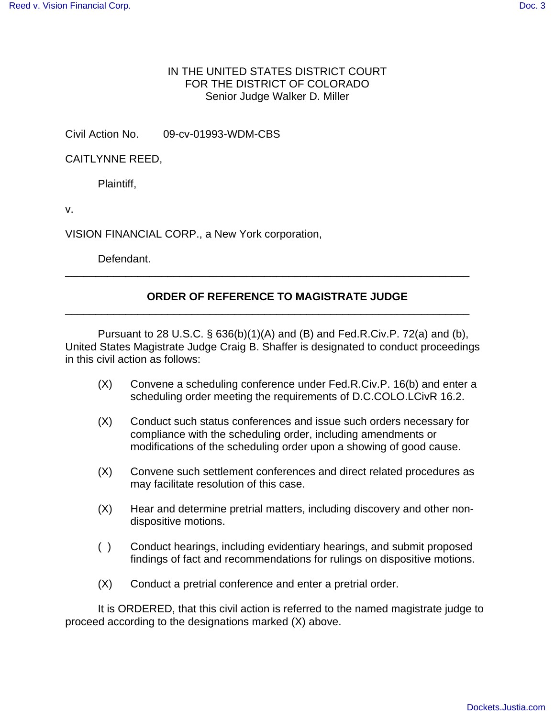## IN THE UNITED STATES DISTRICT COURT FOR THE DISTRICT OF COLORADO Senior Judge Walker D. Miller

Civil Action No. 09-cv-01993-WDM-CBS

CAITLYNNE REED,

Plaintiff,

v.

VISION FINANCIAL CORP., a New York corporation,

Defendant.

## **ORDER OF REFERENCE TO MAGISTRATE JUDGE**

\_\_\_\_\_\_\_\_\_\_\_\_\_\_\_\_\_\_\_\_\_\_\_\_\_\_\_\_\_\_\_\_\_\_\_\_\_\_\_\_\_\_\_\_\_\_\_\_\_\_\_\_\_\_\_\_\_\_\_\_\_\_\_\_\_\_\_

\_\_\_\_\_\_\_\_\_\_\_\_\_\_\_\_\_\_\_\_\_\_\_\_\_\_\_\_\_\_\_\_\_\_\_\_\_\_\_\_\_\_\_\_\_\_\_\_\_\_\_\_\_\_\_\_\_\_\_\_\_\_\_\_\_\_\_

Pursuant to 28 U.S.C. § 636(b)(1)(A) and (B) and Fed.R.Civ.P. 72(a) and (b), United States Magistrate Judge Craig B. Shaffer is designated to conduct proceedings in this civil action as follows:

- (X) Convene a scheduling conference under Fed.R.Civ.P. 16(b) and enter a scheduling order meeting the requirements of D.C.COLO.LCivR 16.2.
- (X) Conduct such status conferences and issue such orders necessary for compliance with the scheduling order, including amendments or modifications of the scheduling order upon a showing of good cause.
- (X) Convene such settlement conferences and direct related procedures as may facilitate resolution of this case.
- (X) Hear and determine pretrial matters, including discovery and other nondispositive motions.
- ( ) Conduct hearings, including evidentiary hearings, and submit proposed findings of fact and recommendations for rulings on dispositive motions.
- (X) Conduct a pretrial conference and enter a pretrial order.

It is ORDERED, that this civil action is referred to the named magistrate judge to proceed according to the designations marked (X) above.